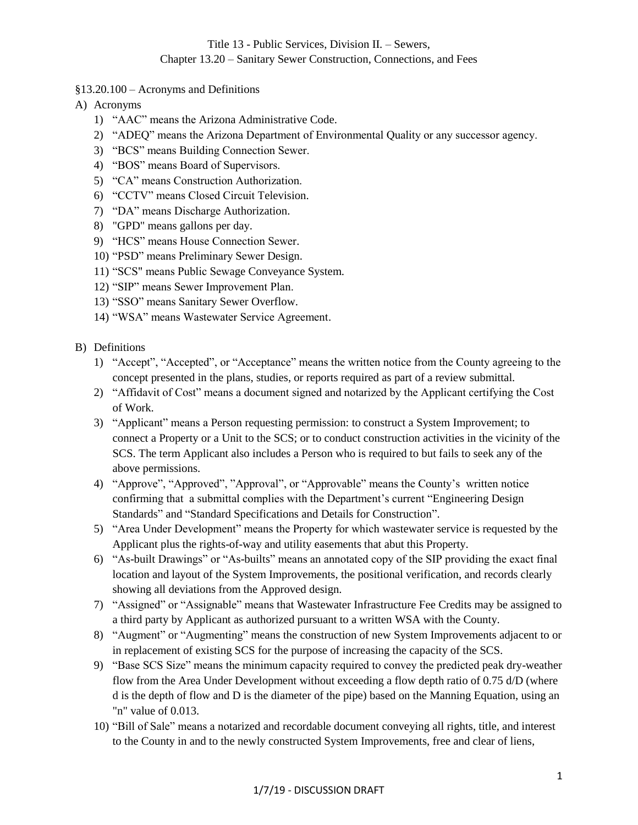# Title 13 - Public Services, Division II. – Sewers, Chapter 13.20 – Sanitary Sewer Construction, Connections, and Fees

- §13.20.100 Acronyms and Definitions
- A) Acronyms
	- 1) "AAC" means the Arizona Administrative Code.
	- 2) "ADEQ" means the Arizona Department of Environmental Quality or any successor agency.
	- 3) "BCS" means Building Connection Sewer.
	- 4) "BOS" means Board of Supervisors.
	- 5) "CA" means Construction Authorization.
	- 6) "CCTV" means Closed Circuit Television.
	- 7) "DA" means Discharge Authorization.
	- 8) "GPD" means gallons per day.
	- 9) "HCS" means House Connection Sewer.
	- 10) "PSD" means Preliminary Sewer Design.
	- 11) "SCS" means Public Sewage Conveyance System.
	- 12) "SIP" means Sewer Improvement Plan.
	- 13) "SSO" means Sanitary Sewer Overflow.
	- 14) "WSA" means Wastewater Service Agreement.
- B) Definitions
	- 1) "Accept", "Accepted", or "Acceptance" means the written notice from the County agreeing to the concept presented in the plans, studies, or reports required as part of a review submittal.
	- 2) "Affidavit of Cost" means a document signed and notarized by the Applicant certifying the Cost of Work.
	- 3) "Applicant" means a Person requesting permission: to construct a System Improvement; to connect a Property or a Unit to the SCS; or to conduct construction activities in the vicinity of the SCS. The term Applicant also includes a Person who is required to but fails to seek any of the above permissions.
	- 4) "Approve", "Approved", "Approval", or "Approvable" means the County's written notice confirming that a submittal complies with the Department's current "Engineering Design Standards" and "Standard Specifications and Details for Construction".
	- 5) "Area Under Development" means the Property for which wastewater service is requested by the Applicant plus the rights-of-way and utility easements that abut this Property.
	- 6) "As-built Drawings" or "As-builts" means an annotated copy of the SIP providing the exact final location and layout of the System Improvements, the positional verification, and records clearly showing all deviations from the Approved design.
	- 7) "Assigned" or "Assignable" means that Wastewater Infrastructure Fee Credits may be assigned to a third party by Applicant as authorized pursuant to a written WSA with the County.
	- 8) "Augment" or "Augmenting" means the construction of new System Improvements adjacent to or in replacement of existing SCS for the purpose of increasing the capacity of the SCS.
	- 9) "Base SCS Size" means the minimum capacity required to convey the predicted peak dry-weather flow from the Area Under Development without exceeding a flow depth ratio of 0.75 d/D (where d is the depth of flow and D is the diameter of the pipe) based on the Manning Equation, using an "n" value of 0.013.
	- 10) "Bill of Sale" means a notarized and recordable document conveying all rights, title, and interest to the County in and to the newly constructed System Improvements, free and clear of liens,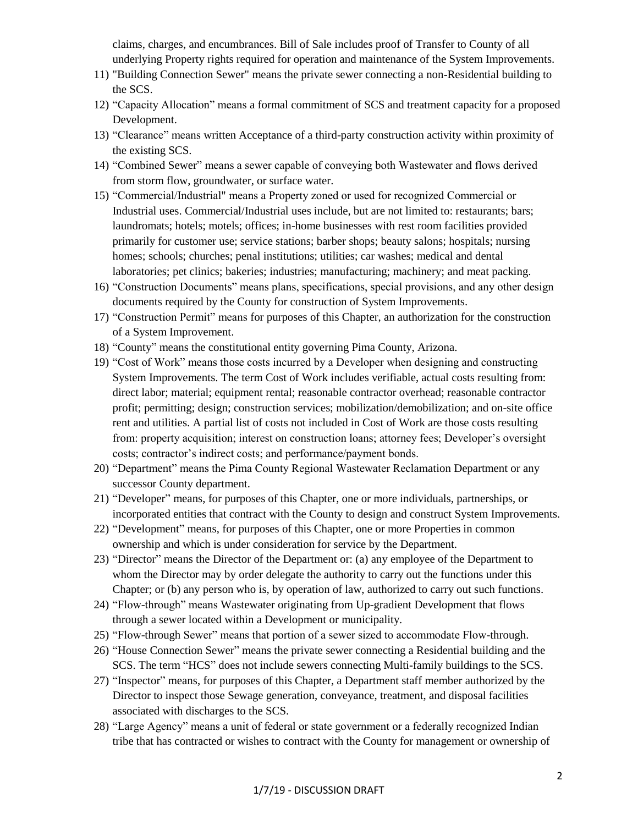claims, charges, and encumbrances. Bill of Sale includes proof of Transfer to County of all underlying Property rights required for operation and maintenance of the System Improvements.

- 11) "Building Connection Sewer" means the private sewer connecting a non-Residential building to the SCS.
- 12) "Capacity Allocation" means a formal commitment of SCS and treatment capacity for a proposed Development.
- 13) "Clearance" means written Acceptance of a third-party construction activity within proximity of the existing SCS.
- 14) "Combined Sewer" means a sewer capable of conveying both Wastewater and flows derived from storm flow, groundwater, or surface water.
- 15) "Commercial/Industrial" means a Property zoned or used for recognized Commercial or Industrial uses. Commercial/Industrial uses include, but are not limited to: restaurants; bars; laundromats; hotels; motels; offices; in-home businesses with rest room facilities provided primarily for customer use; service stations; barber shops; beauty salons; hospitals; nursing homes; schools; churches; penal institutions; utilities; car washes; medical and dental laboratories; pet clinics; bakeries; industries; manufacturing; machinery; and meat packing.
- 16) "Construction Documents" means plans, specifications, special provisions, and any other design documents required by the County for construction of System Improvements.
- 17) "Construction Permit" means for purposes of this Chapter, an authorization for the construction of a System Improvement.
- 18) "County" means the constitutional entity governing Pima County, Arizona.
- 19) "Cost of Work" means those costs incurred by a Developer when designing and constructing System Improvements. The term Cost of Work includes verifiable, actual costs resulting from: direct labor; material; equipment rental; reasonable contractor overhead; reasonable contractor profit; permitting; design; construction services; mobilization/demobilization; and on-site office rent and utilities. A partial list of costs not included in Cost of Work are those costs resulting from: property acquisition; interest on construction loans; attorney fees; Developer's oversight costs; contractor's indirect costs; and performance/payment bonds.
- 20) "Department" means the Pima County Regional Wastewater Reclamation Department or any successor County department.
- 21) "Developer" means, for purposes of this Chapter, one or more individuals, partnerships, or incorporated entities that contract with the County to design and construct System Improvements.
- 22) "Development" means, for purposes of this Chapter, one or more Properties in common ownership and which is under consideration for service by the Department.
- 23) "Director" means the Director of the Department or: (a) any employee of the Department to whom the Director may by order delegate the authority to carry out the functions under this Chapter; or (b) any person who is, by operation of law, authorized to carry out such functions.
- 24) "Flow-through" means Wastewater originating from Up-gradient Development that flows through a sewer located within a Development or municipality.
- 25) "Flow-through Sewer" means that portion of a sewer sized to accommodate Flow-through.
- 26) "House Connection Sewer" means the private sewer connecting a Residential building and the SCS. The term "HCS" does not include sewers connecting Multi-family buildings to the SCS.
- 27) "Inspector" means, for purposes of this Chapter, a Department staff member authorized by the Director to inspect those Sewage generation, conveyance, treatment, and disposal facilities associated with discharges to the SCS.
- 28) "Large Agency" means a unit of federal or state government or a federally recognized Indian tribe that has contracted or wishes to contract with the County for management or ownership of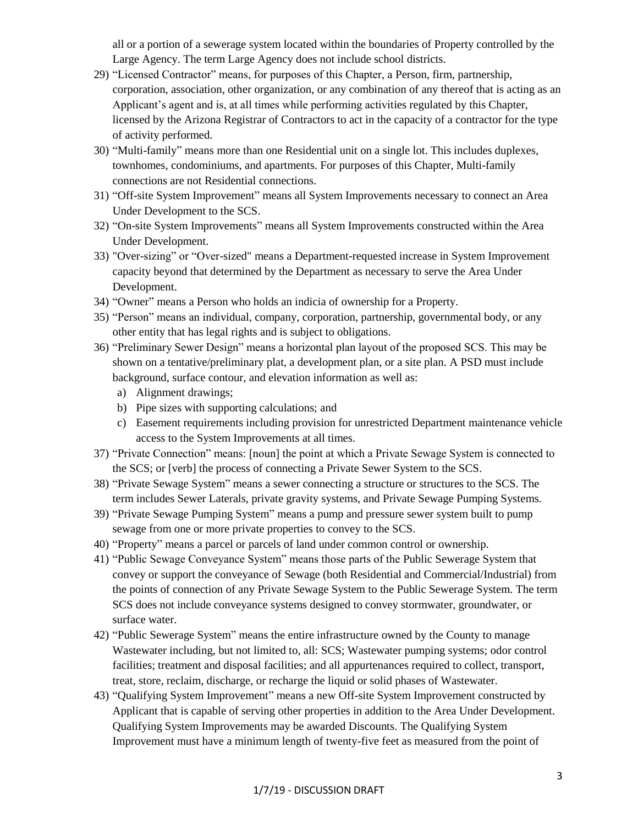all or a portion of a sewerage system located within the boundaries of Property controlled by the Large Agency. The term Large Agency does not include school districts.

- 29) "Licensed Contractor" means, for purposes of this Chapter, a Person, firm, partnership, corporation, association, other organization, or any combination of any thereof that is acting as an Applicant's agent and is, at all times while performing activities regulated by this Chapter, licensed by the Arizona Registrar of Contractors to act in the capacity of a contractor for the type of activity performed.
- 30) "Multi-family" means more than one Residential unit on a single lot. This includes duplexes, townhomes, condominiums, and apartments. For purposes of this Chapter, Multi-family connections are not Residential connections.
- 31) "Off-site System Improvement" means all System Improvements necessary to connect an Area Under Development to the SCS.
- 32) "On-site System Improvements" means all System Improvements constructed within the Area Under Development.
- 33) "Over-sizing" or "Over-sized" means a Department-requested increase in System Improvement capacity beyond that determined by the Department as necessary to serve the Area Under Development.
- 34) "Owner" means a Person who holds an indicia of ownership for a Property.
- 35) "Person" means an individual, company, corporation, partnership, governmental body, or any other entity that has legal rights and is subject to obligations.
- 36) "Preliminary Sewer Design" means a horizontal plan layout of the proposed SCS. This may be shown on a tentative/preliminary plat, a development plan, or a site plan. A PSD must include background, surface contour, and elevation information as well as:
	- a) Alignment drawings;
	- b) Pipe sizes with supporting calculations; and
	- c) Easement requirements including provision for unrestricted Department maintenance vehicle access to the System Improvements at all times.
- 37) "Private Connection" means: [noun] the point at which a Private Sewage System is connected to the SCS; or [verb] the process of connecting a Private Sewer System to the SCS.
- 38) "Private Sewage System" means a sewer connecting a structure or structures to the SCS. The term includes Sewer Laterals, private gravity systems, and Private Sewage Pumping Systems.
- 39) "Private Sewage Pumping System" means a pump and pressure sewer system built to pump sewage from one or more private properties to convey to the SCS.
- 40) "Property" means a parcel or parcels of land under common control or ownership.
- 41) "Public Sewage Conveyance System" means those parts of the Public Sewerage System that convey or support the conveyance of Sewage (both Residential and Commercial/Industrial) from the points of connection of any Private Sewage System to the Public Sewerage System. The term SCS does not include conveyance systems designed to convey stormwater, groundwater, or surface water.
- 42) "Public Sewerage System" means the entire infrastructure owned by the County to manage Wastewater including, but not limited to, all: SCS; Wastewater pumping systems; odor control facilities; treatment and disposal facilities; and all appurtenances required to collect, transport, treat, store, reclaim, discharge, or recharge the liquid or solid phases of Wastewater.
- 43) "Qualifying System Improvement" means a new Off-site System Improvement constructed by Applicant that is capable of serving other properties in addition to the Area Under Development. Qualifying System Improvements may be awarded Discounts. The Qualifying System Improvement must have a minimum length of twenty-five feet as measured from the point of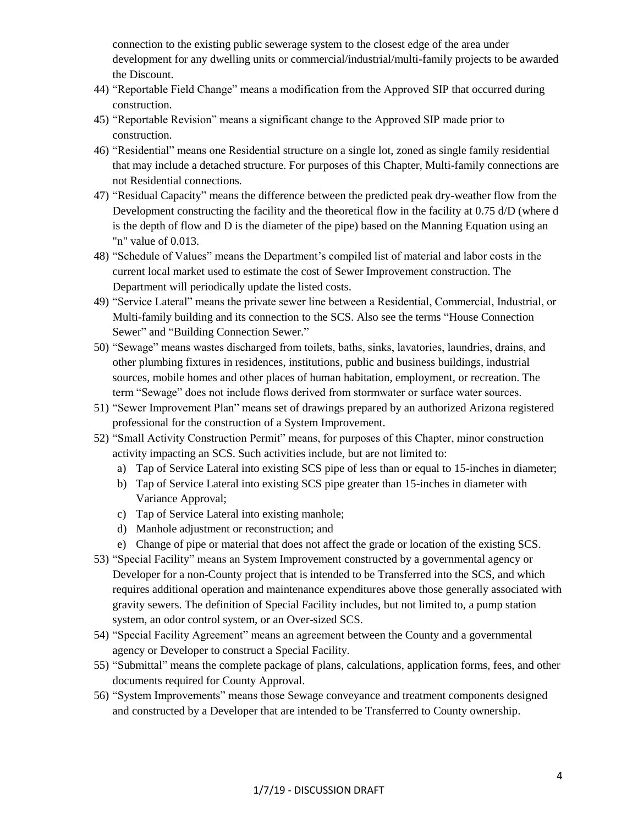connection to the existing public sewerage system to the closest edge of the area under development for any dwelling units or commercial/industrial/multi-family projects to be awarded the Discount.

- 44) "Reportable Field Change" means a modification from the Approved SIP that occurred during construction.
- 45) "Reportable Revision" means a significant change to the Approved SIP made prior to construction.
- 46) "Residential" means one Residential structure on a single lot, zoned as single family residential that may include a detached structure. For purposes of this Chapter, Multi-family connections are not Residential connections.
- 47) "Residual Capacity" means the difference between the predicted peak dry-weather flow from the Development constructing the facility and the theoretical flow in the facility at 0.75 d/D (where d is the depth of flow and D is the diameter of the pipe) based on the Manning Equation using an "n" value of 0.013.
- 48) "Schedule of Values" means the Department's compiled list of material and labor costs in the current local market used to estimate the cost of Sewer Improvement construction. The Department will periodically update the listed costs.
- 49) "Service Lateral" means the private sewer line between a Residential, Commercial, Industrial, or Multi-family building and its connection to the SCS. Also see the terms "House Connection Sewer" and "Building Connection Sewer."
- 50) "Sewage" means wastes discharged from toilets, baths, sinks, lavatories, laundries, drains, and other plumbing fixtures in residences, institutions, public and business buildings, industrial sources, mobile homes and other places of human habitation, employment, or recreation. The term "Sewage" does not include flows derived from stormwater or surface water sources.
- 51) "Sewer Improvement Plan" means set of drawings prepared by an authorized Arizona registered professional for the construction of a System Improvement.
- 52) "Small Activity Construction Permit" means, for purposes of this Chapter, minor construction activity impacting an SCS. Such activities include, but are not limited to:
	- a) Tap of Service Lateral into existing SCS pipe of less than or equal to 15-inches in diameter;
	- b) Tap of Service Lateral into existing SCS pipe greater than 15-inches in diameter with Variance Approval;
	- c) Tap of Service Lateral into existing manhole;
	- d) Manhole adjustment or reconstruction; and
	- e) Change of pipe or material that does not affect the grade or location of the existing SCS.
- 53) "Special Facility" means an System Improvement constructed by a governmental agency or Developer for a non-County project that is intended to be Transferred into the SCS, and which requires additional operation and maintenance expenditures above those generally associated with gravity sewers. The definition of Special Facility includes, but not limited to, a pump station system, an odor control system, or an Over-sized SCS.
- 54) "Special Facility Agreement" means an agreement between the County and a governmental agency or Developer to construct a Special Facility.
- 55) "Submittal" means the complete package of plans, calculations, application forms, fees, and other documents required for County Approval.
- 56) "System Improvements" means those Sewage conveyance and treatment components designed and constructed by a Developer that are intended to be Transferred to County ownership.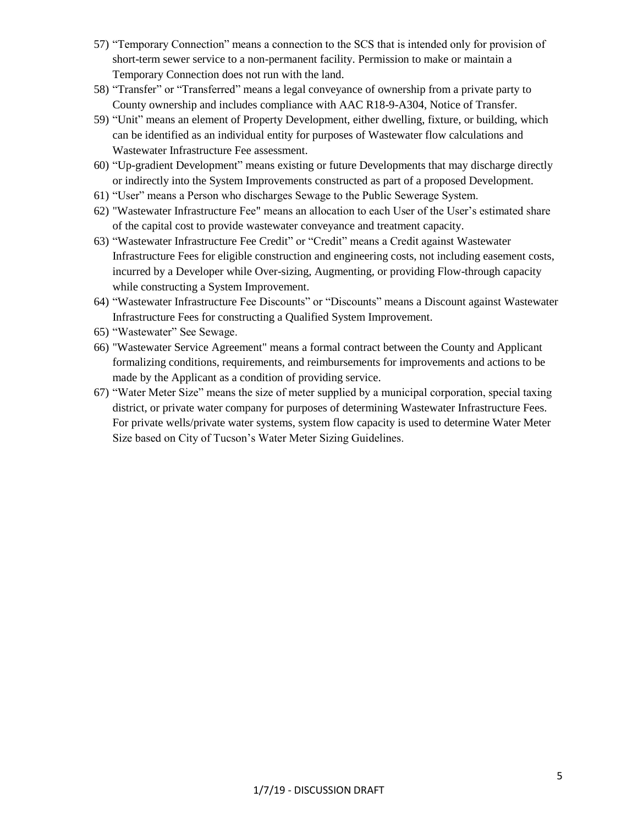- 57) "Temporary Connection" means a connection to the SCS that is intended only for provision of short-term sewer service to a non-permanent facility. Permission to make or maintain a Temporary Connection does not run with the land.
- 58) "Transfer" or "Transferred" means a legal conveyance of ownership from a private party to County ownership and includes compliance with AAC R18-9-A304, Notice of Transfer.
- 59) "Unit" means an element of Property Development, either dwelling, fixture, or building, which can be identified as an individual entity for purposes of Wastewater flow calculations and Wastewater Infrastructure Fee assessment.
- 60) "Up-gradient Development" means existing or future Developments that may discharge directly or indirectly into the System Improvements constructed as part of a proposed Development.
- 61) "User" means a Person who discharges Sewage to the Public Sewerage System.
- 62) "Wastewater Infrastructure Fee" means an allocation to each User of the User's estimated share of the capital cost to provide wastewater conveyance and treatment capacity.
- 63) "Wastewater Infrastructure Fee Credit" or "Credit" means a Credit against Wastewater Infrastructure Fees for eligible construction and engineering costs, not including easement costs, incurred by a Developer while Over-sizing, Augmenting, or providing Flow-through capacity while constructing a System Improvement.
- 64) "Wastewater Infrastructure Fee Discounts" or "Discounts" means a Discount against Wastewater Infrastructure Fees for constructing a Qualified System Improvement.
- 65) "Wastewater" See Sewage.
- 66) "Wastewater Service Agreement" means a formal contract between the County and Applicant formalizing conditions, requirements, and reimbursements for improvements and actions to be made by the Applicant as a condition of providing service.
- 67) "Water Meter Size" means the size of meter supplied by a municipal corporation, special taxing district, or private water company for purposes of determining Wastewater Infrastructure Fees. For private wells/private water systems, system flow capacity is used to determine Water Meter Size based on City of Tucson's Water Meter Sizing Guidelines.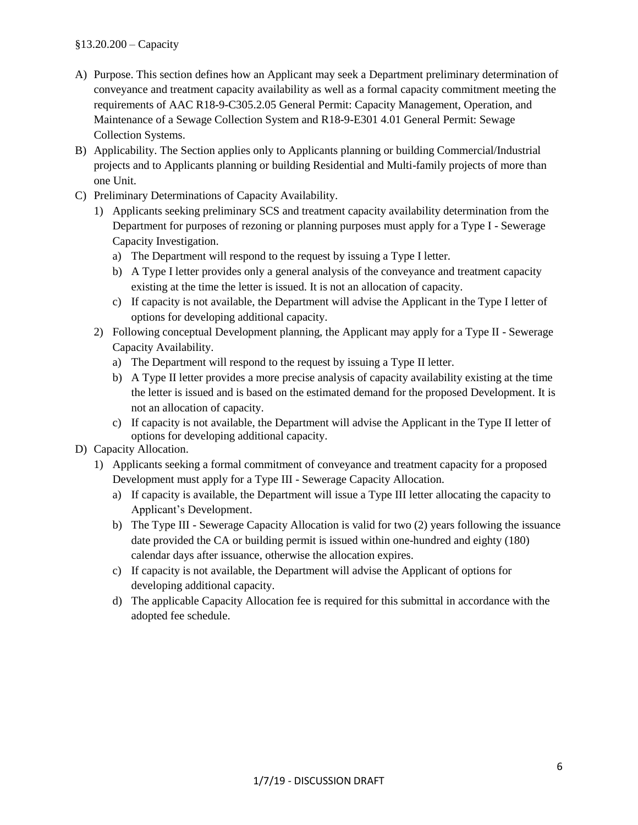- A) Purpose. This section defines how an Applicant may seek a Department preliminary determination of conveyance and treatment capacity availability as well as a formal capacity commitment meeting the requirements of AAC R18-9-C305.2.05 General Permit: Capacity Management, Operation, and Maintenance of a Sewage Collection System and R18-9-E301 4.01 General Permit: Sewage Collection Systems.
- B) Applicability. The Section applies only to Applicants planning or building Commercial/Industrial projects and to Applicants planning or building Residential and Multi-family projects of more than one Unit.
- C) Preliminary Determinations of Capacity Availability.
	- 1) Applicants seeking preliminary SCS and treatment capacity availability determination from the Department for purposes of rezoning or planning purposes must apply for a Type I - Sewerage Capacity Investigation.
		- a) The Department will respond to the request by issuing a Type I letter.
		- b) A Type I letter provides only a general analysis of the conveyance and treatment capacity existing at the time the letter is issued. It is not an allocation of capacity.
		- c) If capacity is not available, the Department will advise the Applicant in the Type I letter of options for developing additional capacity.
	- 2) Following conceptual Development planning, the Applicant may apply for a Type II Sewerage Capacity Availability.
		- a) The Department will respond to the request by issuing a Type II letter.
		- b) A Type II letter provides a more precise analysis of capacity availability existing at the time the letter is issued and is based on the estimated demand for the proposed Development. It is not an allocation of capacity.
		- c) If capacity is not available, the Department will advise the Applicant in the Type II letter of options for developing additional capacity.
- D) Capacity Allocation.
	- 1) Applicants seeking a formal commitment of conveyance and treatment capacity for a proposed Development must apply for a Type III - Sewerage Capacity Allocation.
		- a) If capacity is available, the Department will issue a Type III letter allocating the capacity to Applicant's Development.
		- b) The Type III Sewerage Capacity Allocation is valid for two (2) years following the issuance date provided the CA or building permit is issued within one-hundred and eighty (180) calendar days after issuance, otherwise the allocation expires.
		- c) If capacity is not available, the Department will advise the Applicant of options for developing additional capacity.
		- d) The applicable Capacity Allocation fee is required for this submittal in accordance with the adopted fee schedule.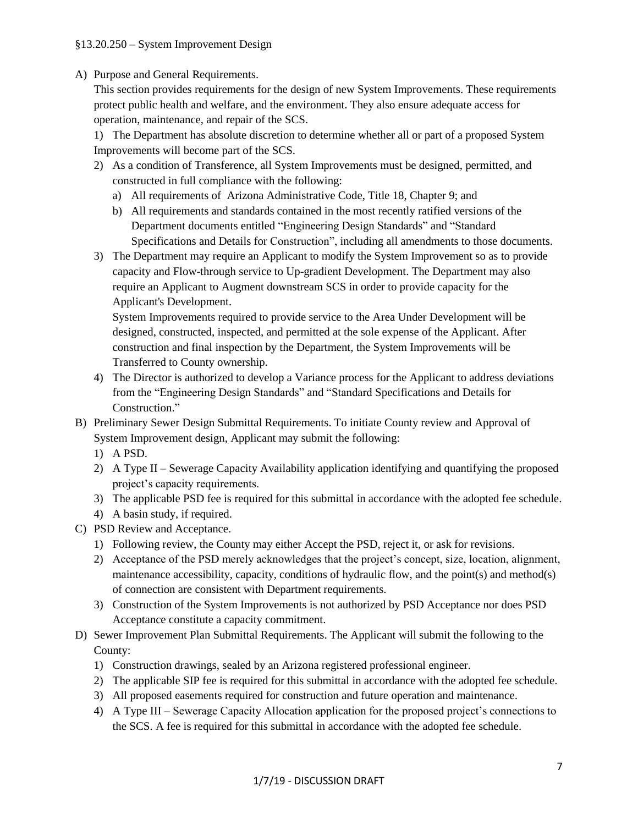A) Purpose and General Requirements.

This section provides requirements for the design of new System Improvements. These requirements protect public health and welfare, and the environment. They also ensure adequate access for operation, maintenance, and repair of the SCS.

1) The Department has absolute discretion to determine whether all or part of a proposed System Improvements will become part of the SCS.

- 2) As a condition of Transference, all System Improvements must be designed, permitted, and constructed in full compliance with the following:
	- a) All requirements of Arizona Administrative Code, Title 18, Chapter 9; and
	- b) All requirements and standards contained in the most recently ratified versions of the Department documents entitled "Engineering Design Standards" and "Standard Specifications and Details for Construction", including all amendments to those documents.
- 3) The Department may require an Applicant to modify the System Improvement so as to provide capacity and Flow-through service to Up-gradient Development. The Department may also require an Applicant to Augment downstream SCS in order to provide capacity for the Applicant's Development.

System Improvements required to provide service to the Area Under Development will be designed, constructed, inspected, and permitted at the sole expense of the Applicant. After construction and final inspection by the Department, the System Improvements will be Transferred to County ownership.

- 4) The Director is authorized to develop a Variance process for the Applicant to address deviations from the "Engineering Design Standards" and "Standard Specifications and Details for Construction."
- B) Preliminary Sewer Design Submittal Requirements. To initiate County review and Approval of System Improvement design, Applicant may submit the following:
	- 1) A PSD.
	- 2) A Type II Sewerage Capacity Availability application identifying and quantifying the proposed project's capacity requirements.
	- 3) The applicable PSD fee is required for this submittal in accordance with the adopted fee schedule.
	- 4) A basin study, if required.
- C) PSD Review and Acceptance.
	- 1) Following review, the County may either Accept the PSD, reject it, or ask for revisions.
	- 2) Acceptance of the PSD merely acknowledges that the project's concept, size, location, alignment, maintenance accessibility, capacity, conditions of hydraulic flow, and the point(s) and method(s) of connection are consistent with Department requirements.
	- 3) Construction of the System Improvements is not authorized by PSD Acceptance nor does PSD Acceptance constitute a capacity commitment.
- D) Sewer Improvement Plan Submittal Requirements. The Applicant will submit the following to the County:
	- 1) Construction drawings, sealed by an Arizona registered professional engineer.
	- 2) The applicable SIP fee is required for this submittal in accordance with the adopted fee schedule.
	- 3) All proposed easements required for construction and future operation and maintenance.
	- 4) A Type III Sewerage Capacity Allocation application for the proposed project's connections to the SCS. A fee is required for this submittal in accordance with the adopted fee schedule.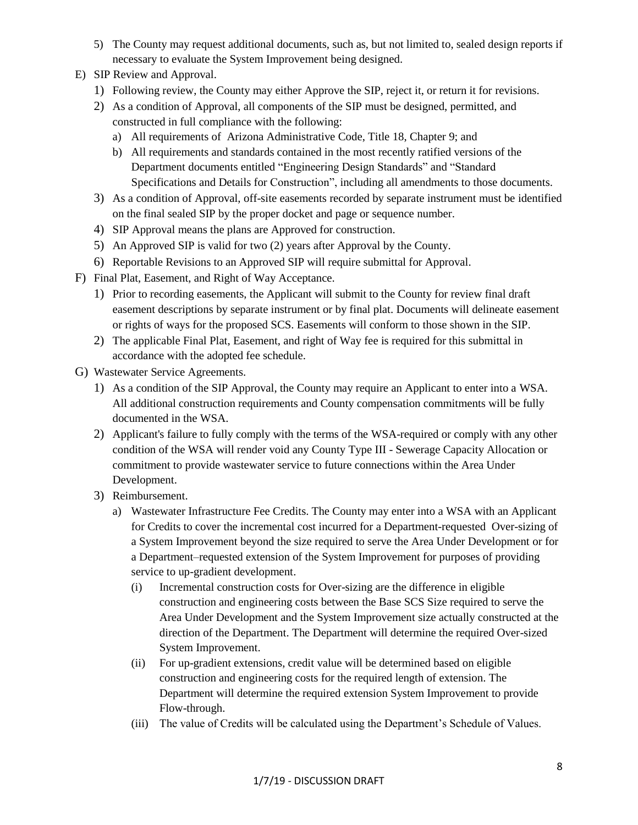- 5) The County may request additional documents, such as, but not limited to, sealed design reports if necessary to evaluate the System Improvement being designed.
- E) SIP Review and Approval.
	- 1) Following review, the County may either Approve the SIP, reject it, or return it for revisions.
	- 2) As a condition of Approval, all components of the SIP must be designed, permitted, and constructed in full compliance with the following:
		- a) All requirements of Arizona Administrative Code, Title 18, Chapter 9; and
		- b) All requirements and standards contained in the most recently ratified versions of the Department documents entitled "Engineering Design Standards" and "Standard Specifications and Details for Construction", including all amendments to those documents.
	- 3) As a condition of Approval, off-site easements recorded by separate instrument must be identified on the final sealed SIP by the proper docket and page or sequence number.
	- 4) SIP Approval means the plans are Approved for construction.
	- 5) An Approved SIP is valid for two (2) years after Approval by the County.
	- 6) Reportable Revisions to an Approved SIP will require submittal for Approval.
- F) Final Plat, Easement, and Right of Way Acceptance.
	- 1) Prior to recording easements, the Applicant will submit to the County for review final draft easement descriptions by separate instrument or by final plat. Documents will delineate easement or rights of ways for the proposed SCS. Easements will conform to those shown in the SIP.
	- 2) The applicable Final Plat, Easement, and right of Way fee is required for this submittal in accordance with the adopted fee schedule.
- G) Wastewater Service Agreements.
	- 1) As a condition of the SIP Approval, the County may require an Applicant to enter into a WSA. All additional construction requirements and County compensation commitments will be fully documented in the WSA.
	- 2) Applicant's failure to fully comply with the terms of the WSA-required or comply with any other condition of the WSA will render void any County Type III - Sewerage Capacity Allocation or commitment to provide wastewater service to future connections within the Area Under Development.
	- 3) Reimbursement.
		- a) Wastewater Infrastructure Fee Credits. The County may enter into a WSA with an Applicant for Credits to cover the incremental cost incurred for a Department-requested Over-sizing of a System Improvement beyond the size required to serve the Area Under Development or for a Department–requested extension of the System Improvement for purposes of providing service to up-gradient development.
			- (i) Incremental construction costs for Over-sizing are the difference in eligible construction and engineering costs between the Base SCS Size required to serve the Area Under Development and the System Improvement size actually constructed at the direction of the Department. The Department will determine the required Over-sized System Improvement.
			- (ii) For up-gradient extensions, credit value will be determined based on eligible construction and engineering costs for the required length of extension. The Department will determine the required extension System Improvement to provide Flow-through.
			- (iii) The value of Credits will be calculated using the Department's Schedule of Values.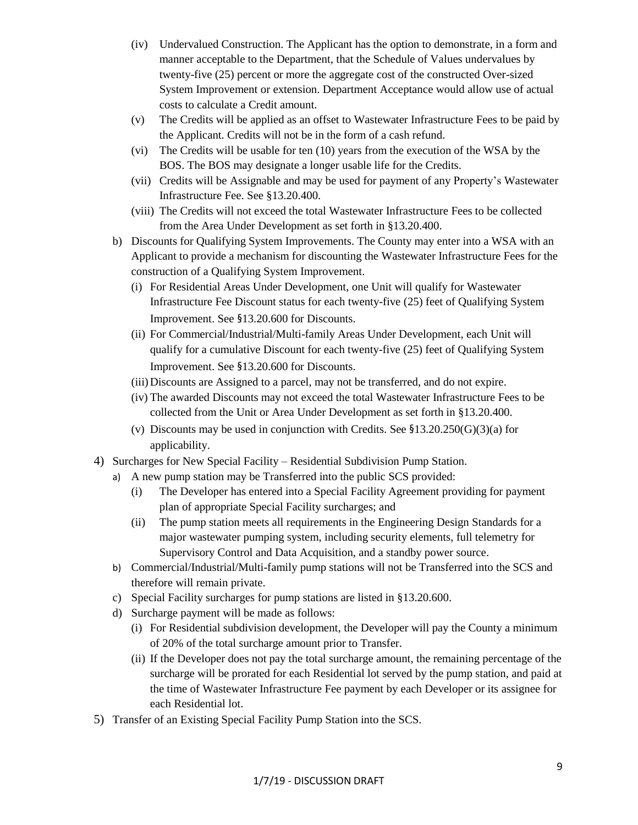- (iv) Undervalued Construction. The Applicant has the option to demonstrate, in a form and manner acceptable to the Department, that the Schedule of Values undervalues by twenty-five (25) percent or more the aggregate cost of the constructed Over-sized System Improvement or extension. Department Acceptance would allow use of actual costs to calculate a Credit amount.
- (v) The Credits will be applied as an offset to Wastewater Infrastructure Fees to be paid by the Applicant. Credits will not be in the form of a cash refund.
- (vi) The Credits will be usable for ten (10) years from the execution of the WSA by the BOS. The BOS may designate a longer usable life for the Credits.
- (vii) Credits will be Assignable and may be used for payment of any Property's Wastewater Infrastructure Fee. See §13.20.400.
- (viii) The Credits will not exceed the total Wastewater Infrastructure Fees to be collected from the Area Under Development as set forth in §13.20.400.
- b) Discounts for Qualifying System Improvements. The County may enter into a WSA with an Applicant to provide a mechanism for discounting the Wastewater Infrastructure Fees for the construction of a Qualifying System Improvement.
	- (i) For Residential Areas Under Development, one Unit will qualify for Wastewater Infrastructure Fee Discount status for each twenty-five (25) feet of Qualifying System Improvement. See §13.20.600 for Discounts.
	- (ii) For Commercial/Industrial/Multi-family Areas Under Development, each Unit will qualify for a cumulative Discount for each twenty-five (25) feet of Qualifying System Improvement. See §13.20.600 for Discounts.
	- (iii)Discounts are Assigned to a parcel, may not be transferred, and do not expire.
	- (iv) The awarded Discounts may not exceed the total Wastewater Infrastructure Fees to be collected from the Unit or Area Under Development as set forth in §13.20.400.
	- (v) Discounts may be used in conjunction with Credits. See §13.20.250(G)(3)(a) for applicability.
- 4) Surcharges for New Special Facility Residential Subdivision Pump Station.
	- a) A new pump station may be Transferred into the public SCS provided:
		- (i) The Developer has entered into a Special Facility Agreement providing for payment plan of appropriate Special Facility surcharges; and
		- (ii) The pump station meets all requirements in the Engineering Design Standards for a major wastewater pumping system, including security elements, full telemetry for Supervisory Control and Data Acquisition, and a standby power source.
	- b) Commercial/Industrial/Multi-family pump stations will not be Transferred into the SCS and therefore will remain private.
	- c) Special Facility surcharges for pump stations are listed in §13.20.600.
	- d) Surcharge payment will be made as follows:
		- (i) For Residential subdivision development, the Developer will pay the County a minimum of 20% of the total surcharge amount prior to Transfer.
		- (ii) If the Developer does not pay the total surcharge amount, the remaining percentage of the surcharge will be prorated for each Residential lot served by the pump station, and paid at the time of Wastewater Infrastructure Fee payment by each Developer or its assignee for each Residential lot.
- 5) Transfer of an Existing Special Facility Pump Station into the SCS.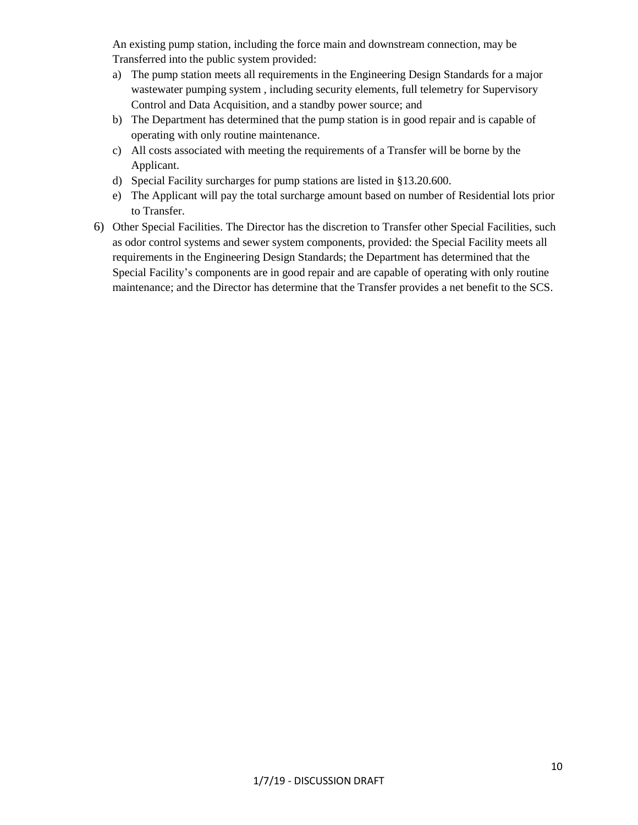An existing pump station, including the force main and downstream connection, may be Transferred into the public system provided:

- a) The pump station meets all requirements in the Engineering Design Standards for a major wastewater pumping system , including security elements, full telemetry for Supervisory Control and Data Acquisition, and a standby power source; and
- b) The Department has determined that the pump station is in good repair and is capable of operating with only routine maintenance.
- c) All costs associated with meeting the requirements of a Transfer will be borne by the Applicant.
- d) Special Facility surcharges for pump stations are listed in §13.20.600.
- e) The Applicant will pay the total surcharge amount based on number of Residential lots prior to Transfer.
- 6) Other Special Facilities. The Director has the discretion to Transfer other Special Facilities, such as odor control systems and sewer system components, provided: the Special Facility meets all requirements in the Engineering Design Standards; the Department has determined that the Special Facility's components are in good repair and are capable of operating with only routine maintenance; and the Director has determine that the Transfer provides a net benefit to the SCS.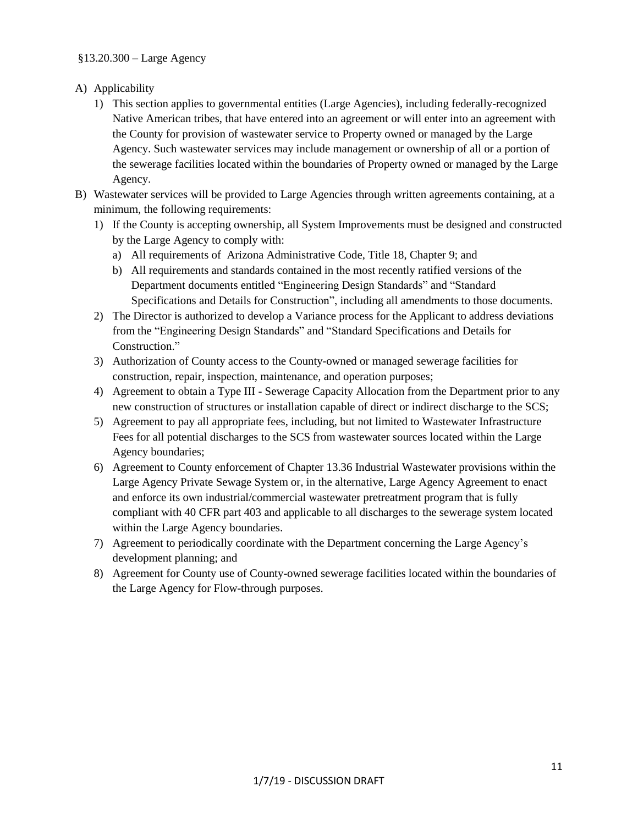### §13.20.300 – Large Agency

- A) Applicability
	- 1) This section applies to governmental entities (Large Agencies), including federally-recognized Native American tribes, that have entered into an agreement or will enter into an agreement with the County for provision of wastewater service to Property owned or managed by the Large Agency. Such wastewater services may include management or ownership of all or a portion of the sewerage facilities located within the boundaries of Property owned or managed by the Large Agency.
- B) Wastewater services will be provided to Large Agencies through written agreements containing, at a minimum, the following requirements:
	- 1) If the County is accepting ownership, all System Improvements must be designed and constructed by the Large Agency to comply with:
		- a) All requirements of Arizona Administrative Code, Title 18, Chapter 9; and
		- b) All requirements and standards contained in the most recently ratified versions of the Department documents entitled "Engineering Design Standards" and "Standard Specifications and Details for Construction", including all amendments to those documents.
	- 2) The Director is authorized to develop a Variance process for the Applicant to address deviations from the "Engineering Design Standards" and "Standard Specifications and Details for Construction."
	- 3) Authorization of County access to the County-owned or managed sewerage facilities for construction, repair, inspection, maintenance, and operation purposes;
	- 4) Agreement to obtain a Type III Sewerage Capacity Allocation from the Department prior to any new construction of structures or installation capable of direct or indirect discharge to the SCS;
	- 5) Agreement to pay all appropriate fees, including, but not limited to Wastewater Infrastructure Fees for all potential discharges to the SCS from wastewater sources located within the Large Agency boundaries;
	- 6) Agreement to County enforcement of Chapter 13.36 Industrial Wastewater provisions within the Large Agency Private Sewage System or, in the alternative, Large Agency Agreement to enact and enforce its own industrial/commercial wastewater pretreatment program that is fully compliant with 40 CFR part 403 and applicable to all discharges to the sewerage system located within the Large Agency boundaries.
	- 7) Agreement to periodically coordinate with the Department concerning the Large Agency's development planning; and
	- 8) Agreement for County use of County-owned sewerage facilities located within the boundaries of the Large Agency for Flow-through purposes.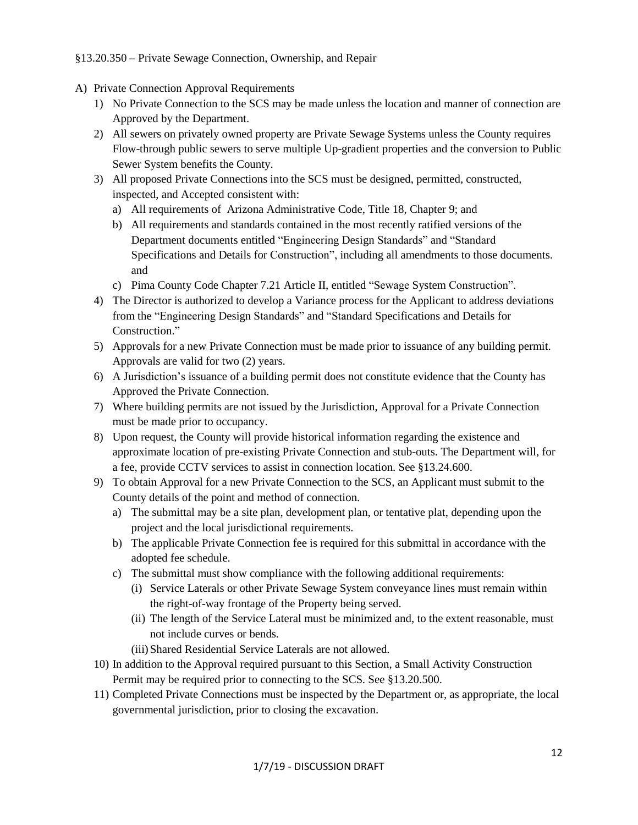## §13.20.350 – Private Sewage Connection, Ownership, and Repair

- A) Private Connection Approval Requirements
	- 1) No Private Connection to the SCS may be made unless the location and manner of connection are Approved by the Department.
	- 2) All sewers on privately owned property are Private Sewage Systems unless the County requires Flow-through public sewers to serve multiple Up-gradient properties and the conversion to Public Sewer System benefits the County.
	- 3) All proposed Private Connections into the SCS must be designed, permitted, constructed, inspected, and Accepted consistent with:
		- a) All requirements of Arizona Administrative Code, Title 18, Chapter 9; and
		- b) All requirements and standards contained in the most recently ratified versions of the Department documents entitled "Engineering Design Standards" and "Standard Specifications and Details for Construction", including all amendments to those documents. and
		- c) Pima County Code Chapter 7.21 Article II, entitled "Sewage System Construction".
	- 4) The Director is authorized to develop a Variance process for the Applicant to address deviations from the "Engineering Design Standards" and "Standard Specifications and Details for Construction."
	- 5) Approvals for a new Private Connection must be made prior to issuance of any building permit. Approvals are valid for two (2) years.
	- 6) A Jurisdiction's issuance of a building permit does not constitute evidence that the County has Approved the Private Connection.
	- 7) Where building permits are not issued by the Jurisdiction, Approval for a Private Connection must be made prior to occupancy.
	- 8) Upon request, the County will provide historical information regarding the existence and approximate location of pre-existing Private Connection and stub-outs. The Department will, for a fee, provide CCTV services to assist in connection location. See §13.24.600.
	- 9) To obtain Approval for a new Private Connection to the SCS, an Applicant must submit to the County details of the point and method of connection.
		- a) The submittal may be a site plan, development plan, or tentative plat, depending upon the project and the local jurisdictional requirements.
		- b) The applicable Private Connection fee is required for this submittal in accordance with the adopted fee schedule.
		- c) The submittal must show compliance with the following additional requirements:
			- (i) Service Laterals or other Private Sewage System conveyance lines must remain within the right-of-way frontage of the Property being served.
			- (ii) The length of the Service Lateral must be minimized and, to the extent reasonable, must not include curves or bends.
			- (iii)Shared Residential Service Laterals are not allowed.
	- 10) In addition to the Approval required pursuant to this Section, a Small Activity Construction Permit may be required prior to connecting to the SCS. See §13.20.500.
	- 11) Completed Private Connections must be inspected by the Department or, as appropriate, the local governmental jurisdiction, prior to closing the excavation.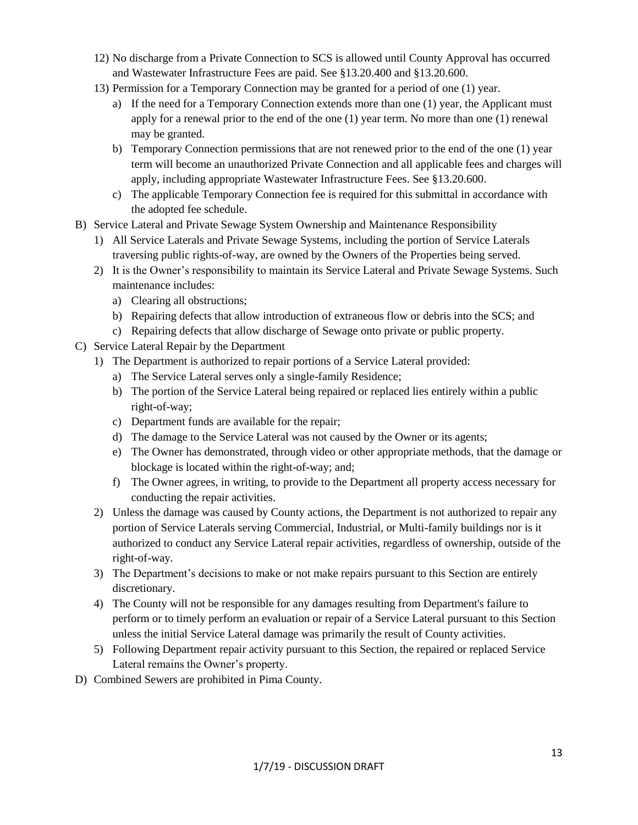- 12) No discharge from a Private Connection to SCS is allowed until County Approval has occurred and Wastewater Infrastructure Fees are paid. See §13.20.400 and §13.20.600.
- 13) Permission for a Temporary Connection may be granted for a period of one (1) year.
	- a) If the need for a Temporary Connection extends more than one (1) year, the Applicant must apply for a renewal prior to the end of the one (1) year term. No more than one (1) renewal may be granted.
	- b) Temporary Connection permissions that are not renewed prior to the end of the one (1) year term will become an unauthorized Private Connection and all applicable fees and charges will apply, including appropriate Wastewater Infrastructure Fees. See §13.20.600.
	- c) The applicable Temporary Connection fee is required for this submittal in accordance with the adopted fee schedule.
- B) Service Lateral and Private Sewage System Ownership and Maintenance Responsibility
	- 1) All Service Laterals and Private Sewage Systems, including the portion of Service Laterals traversing public rights-of-way, are owned by the Owners of the Properties being served.
	- 2) It is the Owner's responsibility to maintain its Service Lateral and Private Sewage Systems. Such maintenance includes:
		- a) Clearing all obstructions;
		- b) Repairing defects that allow introduction of extraneous flow or debris into the SCS; and
		- c) Repairing defects that allow discharge of Sewage onto private or public property.
- C) Service Lateral Repair by the Department
	- 1) The Department is authorized to repair portions of a Service Lateral provided:
		- a) The Service Lateral serves only a single-family Residence;
		- b) The portion of the Service Lateral being repaired or replaced lies entirely within a public right-of-way;
		- c) Department funds are available for the repair;
		- d) The damage to the Service Lateral was not caused by the Owner or its agents;
		- e) The Owner has demonstrated, through video or other appropriate methods, that the damage or blockage is located within the right-of-way; and;
		- f) The Owner agrees, in writing, to provide to the Department all property access necessary for conducting the repair activities.
	- 2) Unless the damage was caused by County actions, the Department is not authorized to repair any portion of Service Laterals serving Commercial, Industrial, or Multi-family buildings nor is it authorized to conduct any Service Lateral repair activities, regardless of ownership, outside of the right-of-way.
	- 3) The Department's decisions to make or not make repairs pursuant to this Section are entirely discretionary.
	- 4) The County will not be responsible for any damages resulting from Department's failure to perform or to timely perform an evaluation or repair of a Service Lateral pursuant to this Section unless the initial Service Lateral damage was primarily the result of County activities.
	- 5) Following Department repair activity pursuant to this Section, the repaired or replaced Service Lateral remains the Owner's property.
- D) Combined Sewers are prohibited in Pima County.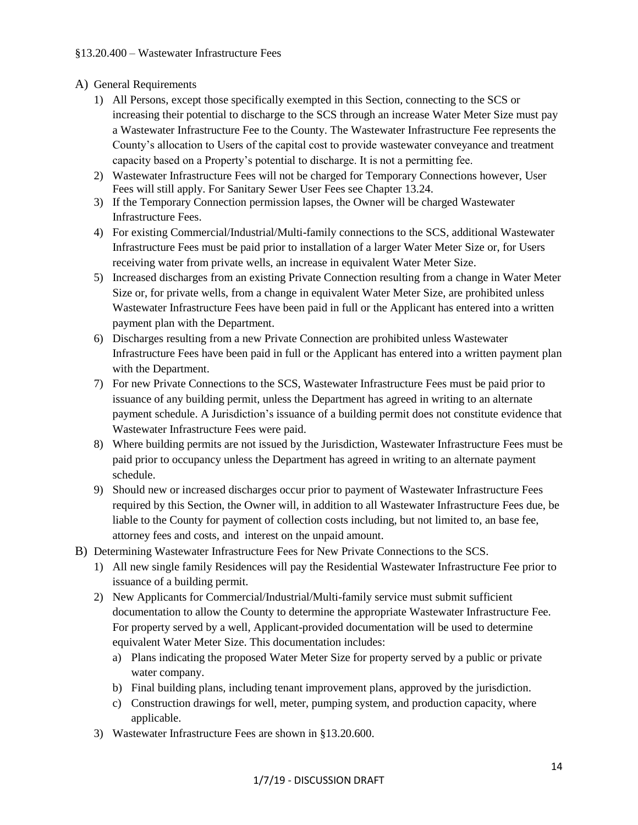## A) General Requirements

- 1) All Persons, except those specifically exempted in this Section, connecting to the SCS or increasing their potential to discharge to the SCS through an increase Water Meter Size must pay a Wastewater Infrastructure Fee to the County. The Wastewater Infrastructure Fee represents the County's allocation to Users of the capital cost to provide wastewater conveyance and treatment capacity based on a Property's potential to discharge. It is not a permitting fee.
- 2) Wastewater Infrastructure Fees will not be charged for Temporary Connections however, User Fees will still apply. For Sanitary Sewer User Fees see Chapter 13.24.
- 3) If the Temporary Connection permission lapses, the Owner will be charged Wastewater Infrastructure Fees.
- 4) For existing Commercial/Industrial/Multi-family connections to the SCS, additional Wastewater Infrastructure Fees must be paid prior to installation of a larger Water Meter Size or, for Users receiving water from private wells, an increase in equivalent Water Meter Size.
- 5) Increased discharges from an existing Private Connection resulting from a change in Water Meter Size or, for private wells, from a change in equivalent Water Meter Size, are prohibited unless Wastewater Infrastructure Fees have been paid in full or the Applicant has entered into a written payment plan with the Department.
- 6) Discharges resulting from a new Private Connection are prohibited unless Wastewater Infrastructure Fees have been paid in full or the Applicant has entered into a written payment plan with the Department.
- 7) For new Private Connections to the SCS, Wastewater Infrastructure Fees must be paid prior to issuance of any building permit, unless the Department has agreed in writing to an alternate payment schedule. A Jurisdiction's issuance of a building permit does not constitute evidence that Wastewater Infrastructure Fees were paid.
- 8) Where building permits are not issued by the Jurisdiction, Wastewater Infrastructure Fees must be paid prior to occupancy unless the Department has agreed in writing to an alternate payment schedule.
- 9) Should new or increased discharges occur prior to payment of Wastewater Infrastructure Fees required by this Section, the Owner will, in addition to all Wastewater Infrastructure Fees due, be liable to the County for payment of collection costs including, but not limited to, an base fee, attorney fees and costs, and interest on the unpaid amount.
- B) Determining Wastewater Infrastructure Fees for New Private Connections to the SCS.
	- 1) All new single family Residences will pay the Residential Wastewater Infrastructure Fee prior to issuance of a building permit.
	- 2) New Applicants for Commercial/Industrial/Multi-family service must submit sufficient documentation to allow the County to determine the appropriate Wastewater Infrastructure Fee. For property served by a well, Applicant-provided documentation will be used to determine equivalent Water Meter Size. This documentation includes:
		- a) Plans indicating the proposed Water Meter Size for property served by a public or private water company.
		- b) Final building plans, including tenant improvement plans, approved by the jurisdiction.
		- c) Construction drawings for well, meter, pumping system, and production capacity, where applicable.
	- 3) Wastewater Infrastructure Fees are shown in §13.20.600.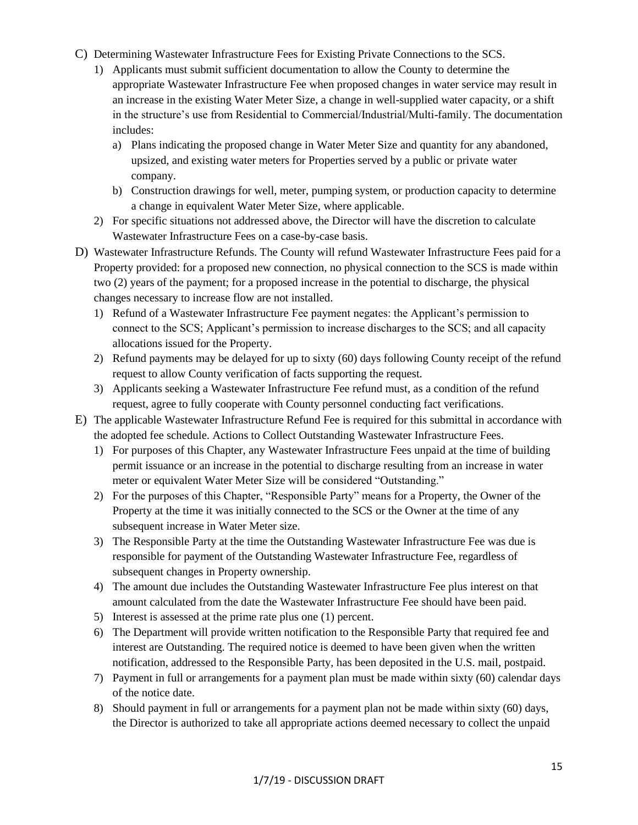- C) Determining Wastewater Infrastructure Fees for Existing Private Connections to the SCS.
	- 1) Applicants must submit sufficient documentation to allow the County to determine the appropriate Wastewater Infrastructure Fee when proposed changes in water service may result in an increase in the existing Water Meter Size, a change in well-supplied water capacity, or a shift in the structure's use from Residential to Commercial/Industrial/Multi-family. The documentation includes:
		- a) Plans indicating the proposed change in Water Meter Size and quantity for any abandoned, upsized, and existing water meters for Properties served by a public or private water company.
		- b) Construction drawings for well, meter, pumping system, or production capacity to determine a change in equivalent Water Meter Size, where applicable.
	- 2) For specific situations not addressed above, the Director will have the discretion to calculate Wastewater Infrastructure Fees on a case-by-case basis.
- D) Wastewater Infrastructure Refunds. The County will refund Wastewater Infrastructure Fees paid for a Property provided: for a proposed new connection, no physical connection to the SCS is made within two (2) years of the payment; for a proposed increase in the potential to discharge, the physical changes necessary to increase flow are not installed.
	- 1) Refund of a Wastewater Infrastructure Fee payment negates: the Applicant's permission to connect to the SCS; Applicant's permission to increase discharges to the SCS; and all capacity allocations issued for the Property.
	- 2) Refund payments may be delayed for up to sixty (60) days following County receipt of the refund request to allow County verification of facts supporting the request.
	- 3) Applicants seeking a Wastewater Infrastructure Fee refund must, as a condition of the refund request, agree to fully cooperate with County personnel conducting fact verifications.
- E) The applicable Wastewater Infrastructure Refund Fee is required for this submittal in accordance with the adopted fee schedule. Actions to Collect Outstanding Wastewater Infrastructure Fees.
	- 1) For purposes of this Chapter, any Wastewater Infrastructure Fees unpaid at the time of building permit issuance or an increase in the potential to discharge resulting from an increase in water meter or equivalent Water Meter Size will be considered "Outstanding."
	- 2) For the purposes of this Chapter, "Responsible Party" means for a Property, the Owner of the Property at the time it was initially connected to the SCS or the Owner at the time of any subsequent increase in Water Meter size.
	- 3) The Responsible Party at the time the Outstanding Wastewater Infrastructure Fee was due is responsible for payment of the Outstanding Wastewater Infrastructure Fee, regardless of subsequent changes in Property ownership.
	- 4) The amount due includes the Outstanding Wastewater Infrastructure Fee plus interest on that amount calculated from the date the Wastewater Infrastructure Fee should have been paid.
	- 5) Interest is assessed at the prime rate plus one (1) percent.
	- 6) The Department will provide written notification to the Responsible Party that required fee and interest are Outstanding. The required notice is deemed to have been given when the written notification, addressed to the Responsible Party, has been deposited in the U.S. mail, postpaid.
	- 7) Payment in full or arrangements for a payment plan must be made within sixty (60) calendar days of the notice date.
	- 8) Should payment in full or arrangements for a payment plan not be made within sixty (60) days, the Director is authorized to take all appropriate actions deemed necessary to collect the unpaid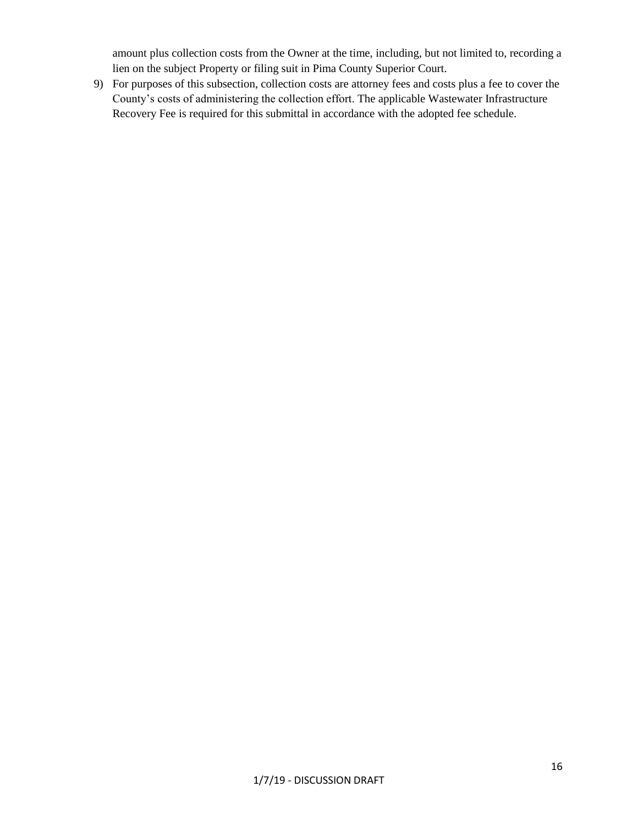amount plus collection costs from the Owner at the time, including, but not limited to, recording a lien on the subject Property or filing suit in Pima County Superior Court.

9) For purposes of this subsection, collection costs are attorney fees and costs plus a fee to cover the County's costs of administering the collection effort. The applicable Wastewater Infrastructure Recovery Fee is required for this submittal in accordance with the adopted fee schedule.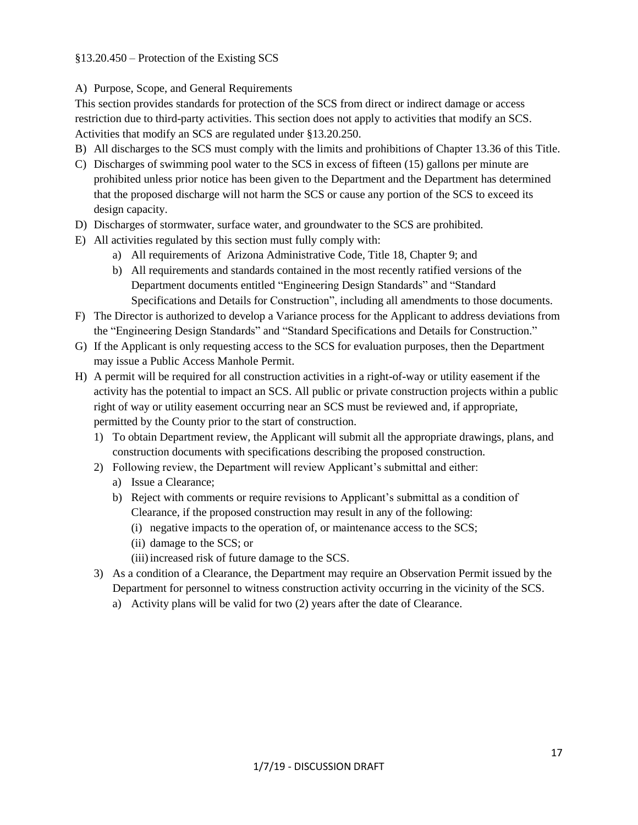## §13.20.450 – Protection of the Existing SCS

## A) Purpose, Scope, and General Requirements

This section provides standards for protection of the SCS from direct or indirect damage or access restriction due to third-party activities. This section does not apply to activities that modify an SCS. Activities that modify an SCS are regulated under §13.20.250.

- B) All discharges to the SCS must comply with the limits and prohibitions of Chapter 13.36 of this Title.
- C) Discharges of swimming pool water to the SCS in excess of fifteen (15) gallons per minute are prohibited unless prior notice has been given to the Department and the Department has determined that the proposed discharge will not harm the SCS or cause any portion of the SCS to exceed its design capacity.
- D) Discharges of stormwater, surface water, and groundwater to the SCS are prohibited.
- E) All activities regulated by this section must fully comply with:
	- a) All requirements of Arizona Administrative Code, Title 18, Chapter 9; and
	- b) All requirements and standards contained in the most recently ratified versions of the Department documents entitled "Engineering Design Standards" and "Standard Specifications and Details for Construction", including all amendments to those documents.
- F) The Director is authorized to develop a Variance process for the Applicant to address deviations from the "Engineering Design Standards" and "Standard Specifications and Details for Construction."
- G) If the Applicant is only requesting access to the SCS for evaluation purposes, then the Department may issue a Public Access Manhole Permit.
- H) A permit will be required for all construction activities in a right-of-way or utility easement if the activity has the potential to impact an SCS. All public or private construction projects within a public right of way or utility easement occurring near an SCS must be reviewed and, if appropriate, permitted by the County prior to the start of construction.
	- 1) To obtain Department review, the Applicant will submit all the appropriate drawings, plans, and construction documents with specifications describing the proposed construction.
	- 2) Following review, the Department will review Applicant's submittal and either:
		- a) Issue a Clearance;
		- b) Reject with comments or require revisions to Applicant's submittal as a condition of Clearance, if the proposed construction may result in any of the following:
			- (i) negative impacts to the operation of, or maintenance access to the SCS;
			- (ii) damage to the SCS; or
			- (iii) increased risk of future damage to the SCS.
	- 3) As a condition of a Clearance, the Department may require an Observation Permit issued by the Department for personnel to witness construction activity occurring in the vicinity of the SCS.
		- a) Activity plans will be valid for two (2) years after the date of Clearance.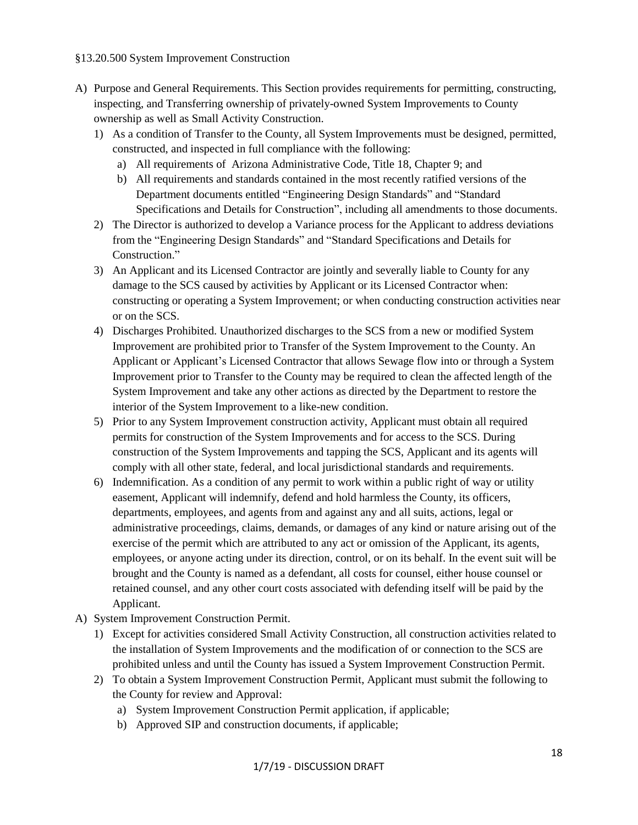#### §13.20.500 System Improvement Construction

- A) Purpose and General Requirements. This Section provides requirements for permitting, constructing, inspecting, and Transferring ownership of privately-owned System Improvements to County ownership as well as Small Activity Construction.
	- 1) As a condition of Transfer to the County, all System Improvements must be designed, permitted, constructed, and inspected in full compliance with the following:
		- a) All requirements of Arizona Administrative Code, Title 18, Chapter 9; and
		- b) All requirements and standards contained in the most recently ratified versions of the Department documents entitled "Engineering Design Standards" and "Standard Specifications and Details for Construction", including all amendments to those documents.
	- 2) The Director is authorized to develop a Variance process for the Applicant to address deviations from the "Engineering Design Standards" and "Standard Specifications and Details for Construction."
	- 3) An Applicant and its Licensed Contractor are jointly and severally liable to County for any damage to the SCS caused by activities by Applicant or its Licensed Contractor when: constructing or operating a System Improvement; or when conducting construction activities near or on the SCS.
	- 4) Discharges Prohibited. Unauthorized discharges to the SCS from a new or modified System Improvement are prohibited prior to Transfer of the System Improvement to the County. An Applicant or Applicant's Licensed Contractor that allows Sewage flow into or through a System Improvement prior to Transfer to the County may be required to clean the affected length of the System Improvement and take any other actions as directed by the Department to restore the interior of the System Improvement to a like-new condition.
	- 5) Prior to any System Improvement construction activity, Applicant must obtain all required permits for construction of the System Improvements and for access to the SCS. During construction of the System Improvements and tapping the SCS, Applicant and its agents will comply with all other state, federal, and local jurisdictional standards and requirements.
	- 6) Indemnification. As a condition of any permit to work within a public right of way or utility easement, Applicant will indemnify, defend and hold harmless the County, its officers, departments, employees, and agents from and against any and all suits, actions, legal or administrative proceedings, claims, demands, or damages of any kind or nature arising out of the exercise of the permit which are attributed to any act or omission of the Applicant, its agents, employees, or anyone acting under its direction, control, or on its behalf. In the event suit will be brought and the County is named as a defendant, all costs for counsel, either house counsel or retained counsel, and any other court costs associated with defending itself will be paid by the Applicant.
- A) System Improvement Construction Permit.
	- 1) Except for activities considered Small Activity Construction, all construction activities related to the installation of System Improvements and the modification of or connection to the SCS are prohibited unless and until the County has issued a System Improvement Construction Permit.
	- 2) To obtain a System Improvement Construction Permit, Applicant must submit the following to the County for review and Approval:
		- a) System Improvement Construction Permit application, if applicable;
		- b) Approved SIP and construction documents, if applicable;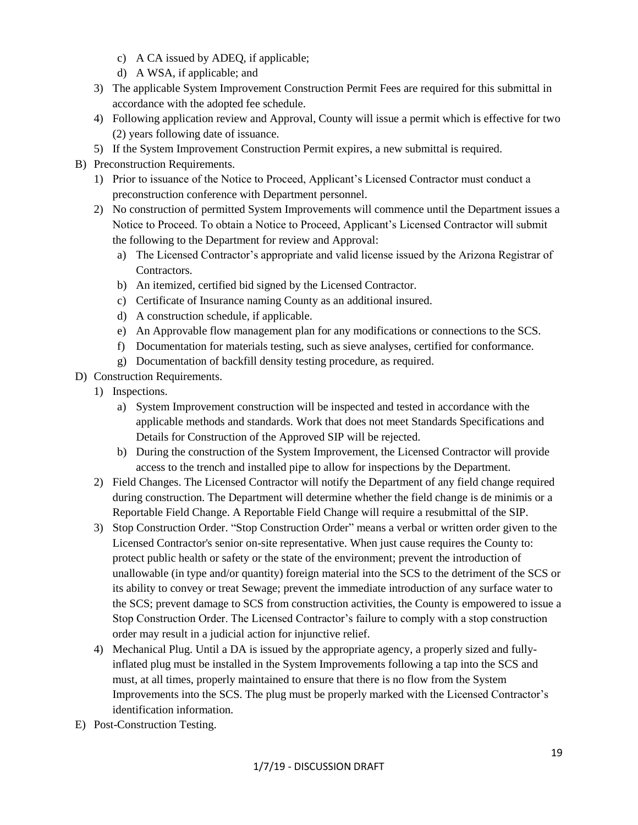- c) A CA issued by ADEQ, if applicable;
- d) A WSA, if applicable; and
- 3) The applicable System Improvement Construction Permit Fees are required for this submittal in accordance with the adopted fee schedule.
- 4) Following application review and Approval, County will issue a permit which is effective for two (2) years following date of issuance.
- 5) If the System Improvement Construction Permit expires, a new submittal is required.
- B) Preconstruction Requirements.
	- 1) Prior to issuance of the Notice to Proceed, Applicant's Licensed Contractor must conduct a preconstruction conference with Department personnel.
	- 2) No construction of permitted System Improvements will commence until the Department issues a Notice to Proceed. To obtain a Notice to Proceed, Applicant's Licensed Contractor will submit the following to the Department for review and Approval:
		- a) The Licensed Contractor's appropriate and valid license issued by the Arizona Registrar of Contractors.
		- b) An itemized, certified bid signed by the Licensed Contractor.
		- c) Certificate of Insurance naming County as an additional insured.
		- d) A construction schedule, if applicable.
		- e) An Approvable flow management plan for any modifications or connections to the SCS.
		- f) Documentation for materials testing, such as sieve analyses, certified for conformance.
		- g) Documentation of backfill density testing procedure, as required.
- D) Construction Requirements.
	- 1) Inspections.
		- a) System Improvement construction will be inspected and tested in accordance with the applicable methods and standards. Work that does not meet Standards Specifications and Details for Construction of the Approved SIP will be rejected.
		- b) During the construction of the System Improvement, the Licensed Contractor will provide access to the trench and installed pipe to allow for inspections by the Department.
	- 2) Field Changes. The Licensed Contractor will notify the Department of any field change required during construction. The Department will determine whether the field change is de minimis or a Reportable Field Change. A Reportable Field Change will require a resubmittal of the SIP.
	- 3) Stop Construction Order. "Stop Construction Order" means a verbal or written order given to the Licensed Contractor's senior on-site representative. When just cause requires the County to: protect public health or safety or the state of the environment; prevent the introduction of unallowable (in type and/or quantity) foreign material into the SCS to the detriment of the SCS or its ability to convey or treat Sewage; prevent the immediate introduction of any surface water to the SCS; prevent damage to SCS from construction activities, the County is empowered to issue a Stop Construction Order. The Licensed Contractor's failure to comply with a stop construction order may result in a judicial action for injunctive relief.
	- 4) Mechanical Plug. Until a DA is issued by the appropriate agency, a properly sized and fullyinflated plug must be installed in the System Improvements following a tap into the SCS and must, at all times, properly maintained to ensure that there is no flow from the System Improvements into the SCS. The plug must be properly marked with the Licensed Contractor's identification information.
- E) Post-Construction Testing.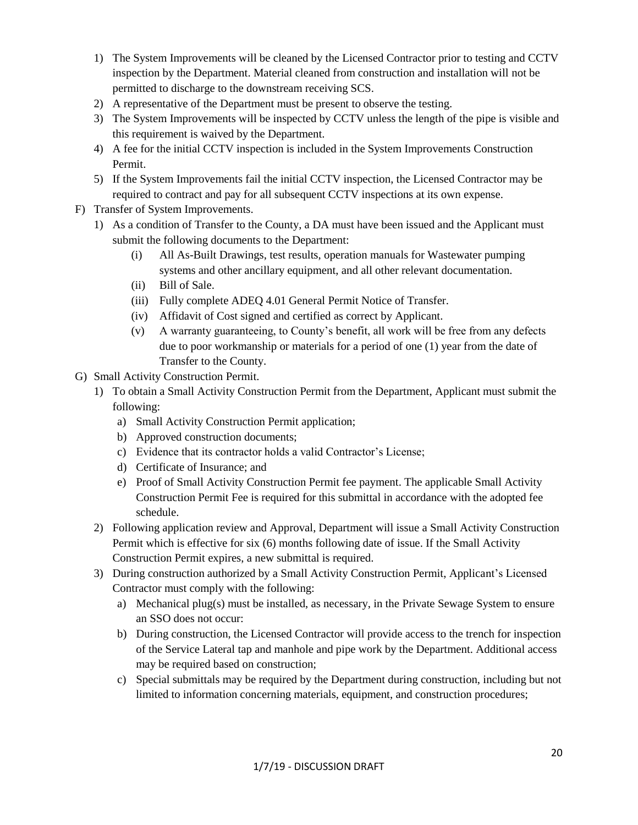- 1) The System Improvements will be cleaned by the Licensed Contractor prior to testing and CCTV inspection by the Department. Material cleaned from construction and installation will not be permitted to discharge to the downstream receiving SCS.
- 2) A representative of the Department must be present to observe the testing.
- 3) The System Improvements will be inspected by CCTV unless the length of the pipe is visible and this requirement is waived by the Department.
- 4) A fee for the initial CCTV inspection is included in the System Improvements Construction Permit.
- 5) If the System Improvements fail the initial CCTV inspection, the Licensed Contractor may be required to contract and pay for all subsequent CCTV inspections at its own expense.
- F) Transfer of System Improvements.
	- 1) As a condition of Transfer to the County, a DA must have been issued and the Applicant must submit the following documents to the Department:
		- (i) All As-Built Drawings, test results, operation manuals for Wastewater pumping systems and other ancillary equipment, and all other relevant documentation.
		- (ii) Bill of Sale.
		- (iii) Fully complete ADEQ 4.01 General Permit Notice of Transfer.
		- (iv) Affidavit of Cost signed and certified as correct by Applicant.
		- (v) A warranty guaranteeing, to County's benefit, all work will be free from any defects due to poor workmanship or materials for a period of one (1) year from the date of Transfer to the County.
- G) Small Activity Construction Permit.
	- 1) To obtain a Small Activity Construction Permit from the Department, Applicant must submit the following:
		- a) Small Activity Construction Permit application;
		- b) Approved construction documents;
		- c) Evidence that its contractor holds a valid Contractor's License;
		- d) Certificate of Insurance; and
		- e) Proof of Small Activity Construction Permit fee payment. The applicable Small Activity Construction Permit Fee is required for this submittal in accordance with the adopted fee schedule.
	- 2) Following application review and Approval, Department will issue a Small Activity Construction Permit which is effective for six (6) months following date of issue. If the Small Activity Construction Permit expires, a new submittal is required.
	- 3) During construction authorized by a Small Activity Construction Permit, Applicant's Licensed Contractor must comply with the following:
		- a) Mechanical plug(s) must be installed, as necessary, in the Private Sewage System to ensure an SSO does not occur:
		- b) During construction, the Licensed Contractor will provide access to the trench for inspection of the Service Lateral tap and manhole and pipe work by the Department. Additional access may be required based on construction;
		- c) Special submittals may be required by the Department during construction, including but not limited to information concerning materials, equipment, and construction procedures;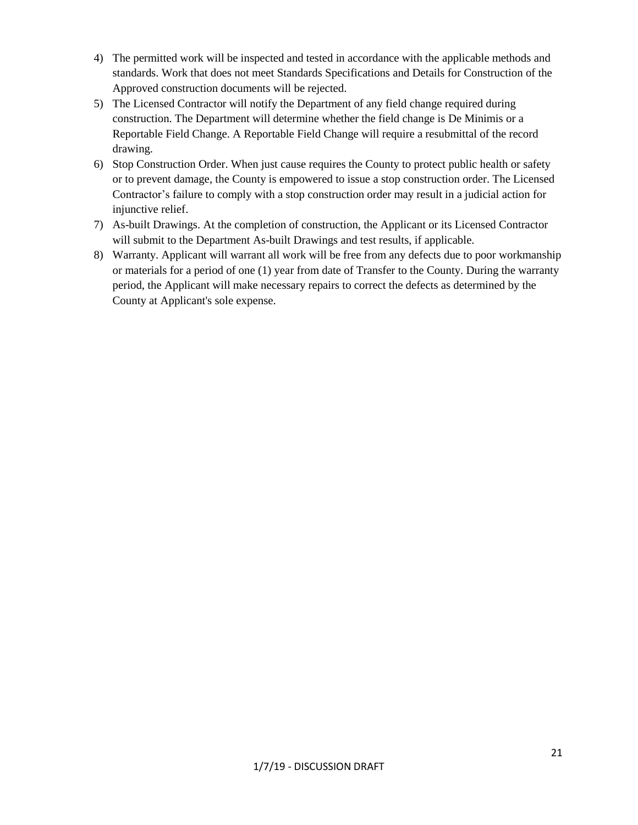- 4) The permitted work will be inspected and tested in accordance with the applicable methods and standards. Work that does not meet Standards Specifications and Details for Construction of the Approved construction documents will be rejected.
- 5) The Licensed Contractor will notify the Department of any field change required during construction. The Department will determine whether the field change is De Minimis or a Reportable Field Change. A Reportable Field Change will require a resubmittal of the record drawing.
- 6) Stop Construction Order. When just cause requires the County to protect public health or safety or to prevent damage, the County is empowered to issue a stop construction order. The Licensed Contractor's failure to comply with a stop construction order may result in a judicial action for injunctive relief.
- 7) As-built Drawings. At the completion of construction, the Applicant or its Licensed Contractor will submit to the Department As-built Drawings and test results, if applicable.
- 8) Warranty. Applicant will warrant all work will be free from any defects due to poor workmanship or materials for a period of one (1) year from date of Transfer to the County. During the warranty period, the Applicant will make necessary repairs to correct the defects as determined by the County at Applicant's sole expense.